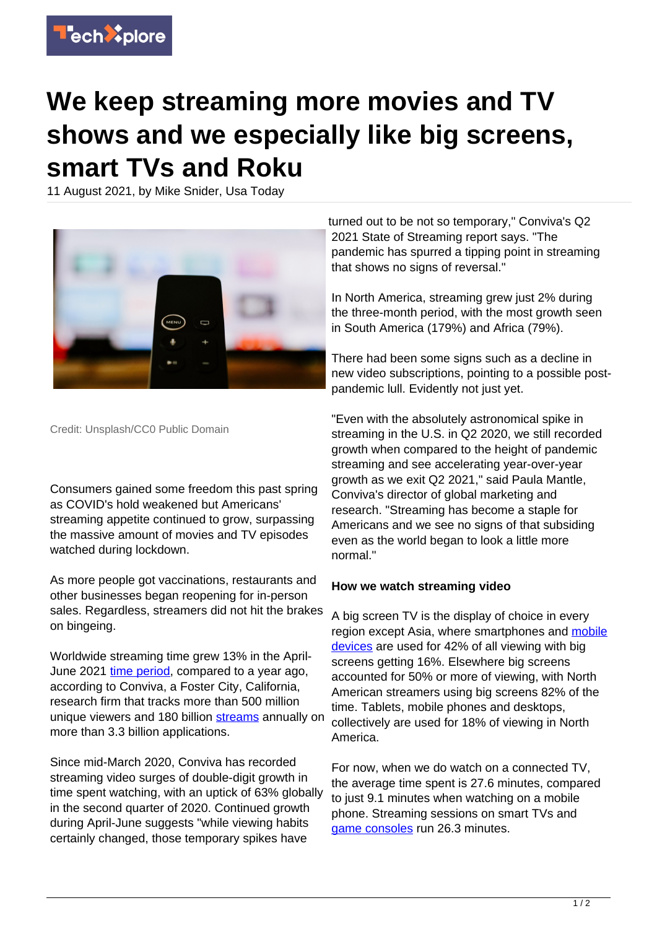

## **We keep streaming more movies and TV shows and we especially like big screens, smart TVs and Roku**

11 August 2021, by Mike Snider, Usa Today



Credit: Unsplash/CC0 Public Domain

Consumers gained some freedom this past spring as COVID's hold weakened but Americans' streaming appetite continued to grow, surpassing the massive amount of movies and TV episodes watched during lockdown.

As more people got vaccinations, restaurants and other businesses began reopening for in-person sales. Regardless, streamers did not hit the brakes on bingeing.

Worldwide streaming time grew 13% in the AprilJune 2021 [time period](https://techxplore.com/tags/time+period/), compared to a year ago, according to Conviva, a Foster City, California, research firm that tracks more than 500 million unique viewers and 180 billion [streams](https://techxplore.com/tags/streams/) annually on more than 3.3 billion applications.

Since mid-March 2020, Conviva has recorded streaming video surges of double-digit growth in time spent watching, with an uptick of 63% globally in the second quarter of 2020. Continued growth during April-June suggests "while viewing habits certainly changed, those temporary spikes have

turned out to be not so temporary," Conviva's Q2 2021 State of Streaming report says. "The pandemic has spurred a tipping point in streaming that shows no signs of reversal."

In North America, streaming grew just 2% during the three-month period, with the most growth seen in South America (179%) and Africa (79%).

There had been some signs such as a decline in new video subscriptions, pointing to a possible postpandemic lull. Evidently not just yet.

"Even with the absolutely astronomical spike in streaming in the U.S. in Q2 2020, we still recorded growth when compared to the height of pandemic streaming and see accelerating year-over-year growth as we exit Q2 2021," said Paula Mantle, Conviva's director of global marketing and research. "Streaming has become a staple for Americans and we see no signs of that subsiding even as the world began to look a little more normal."

## **How we watch streaming video**

A big screen TV is the display of choice in every region except Asia, where smartphones and [mobile](https://techxplore.com/tags/mobile+devices/) [devices](https://techxplore.com/tags/mobile+devices/) are used for 42% of all viewing with big screens getting 16%. Elsewhere big screens accounted for 50% or more of viewing, with North American streamers using big screens 82% of the time. Tablets, mobile phones and desktops, collectively are used for 18% of viewing in North America.

For now, when we do watch on a connected TV, the average time spent is 27.6 minutes, compared to just 9.1 minutes when watching on a mobile phone. Streaming sessions on smart TVs and [game consoles](https://techxplore.com/tags/game+consoles/) run 26.3 minutes.